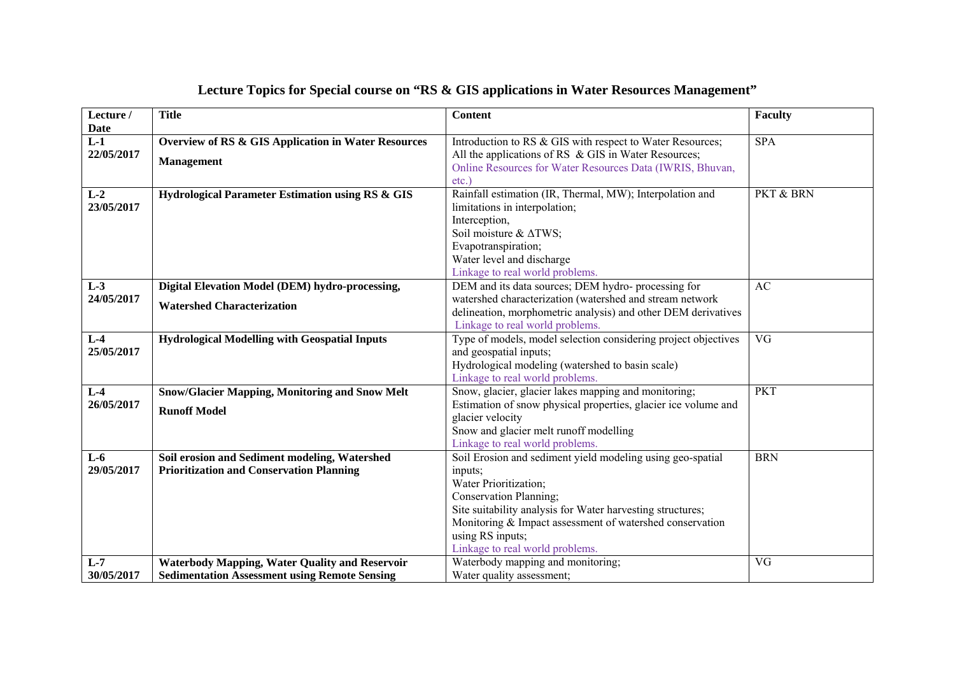| Lecture /                          | <b>Title</b>                                                                                                  | <b>Content</b>                                                                                                                                                                                                                                                                                            | Faculty    |
|------------------------------------|---------------------------------------------------------------------------------------------------------------|-----------------------------------------------------------------------------------------------------------------------------------------------------------------------------------------------------------------------------------------------------------------------------------------------------------|------------|
| <b>Date</b><br>$L-1$<br>22/05/2017 | <b>Overview of RS &amp; GIS Application in Water Resources</b><br><b>Management</b>                           | Introduction to RS & GIS with respect to Water Resources;<br>All the applications of RS & GIS in Water Resources;<br>Online Resources for Water Resources Data (IWRIS, Bhuvan,<br>$etc.$ )                                                                                                                | <b>SPA</b> |
| $L-2$<br>23/05/2017                | Hydrological Parameter Estimation using RS & GIS                                                              | Rainfall estimation (IR, Thermal, MW); Interpolation and<br>limitations in interpolation;<br>Interception,<br>Soil moisture & $\triangle$ TWS;<br>Evapotranspiration;<br>Water level and discharge<br>Linkage to real world problems                                                                      | PKT & BRN  |
| $L-3$<br>24/05/2017                | Digital Elevation Model (DEM) hydro-processing,<br><b>Watershed Characterization</b>                          | DEM and its data sources; DEM hydro- processing for<br>watershed characterization (watershed and stream network<br>delineation, morphometric analysis) and other DEM derivatives<br>Linkage to real world problems.                                                                                       | AC         |
| $L-4$<br>25/05/2017                | <b>Hydrological Modelling with Geospatial Inputs</b>                                                          | Type of models, model selection considering project objectives<br>and geospatial inputs;<br>Hydrological modeling (watershed to basin scale)<br>Linkage to real world problems.                                                                                                                           | VG         |
| $L-4$<br>26/05/2017                | <b>Snow/Glacier Mapping, Monitoring and Snow Melt</b><br><b>Runoff Model</b>                                  | Snow, glacier, glacier lakes mapping and monitoring;<br>Estimation of snow physical properties, glacier ice volume and<br>glacier velocity<br>Snow and glacier melt runoff modelling<br>Linkage to real world problems.                                                                                   | <b>PKT</b> |
| $L-6$<br>29/05/2017                | Soil erosion and Sediment modeling, Watershed<br><b>Prioritization and Conservation Planning</b>              | Soil Erosion and sediment yield modeling using geo-spatial<br>inputs;<br>Water Prioritization;<br>Conservation Planning;<br>Site suitability analysis for Water harvesting structures;<br>Monitoring & Impact assessment of watershed conservation<br>using RS inputs;<br>Linkage to real world problems. | <b>BRN</b> |
| $L-7$<br>30/05/2017                | <b>Waterbody Mapping, Water Quality and Reservoir</b><br><b>Sedimentation Assessment using Remote Sensing</b> | Waterbody mapping and monitoring;<br>Water quality assessment;                                                                                                                                                                                                                                            | VG         |

## **Lecture Topics for Special course on "RS & GIS applications in Water Resources Management"**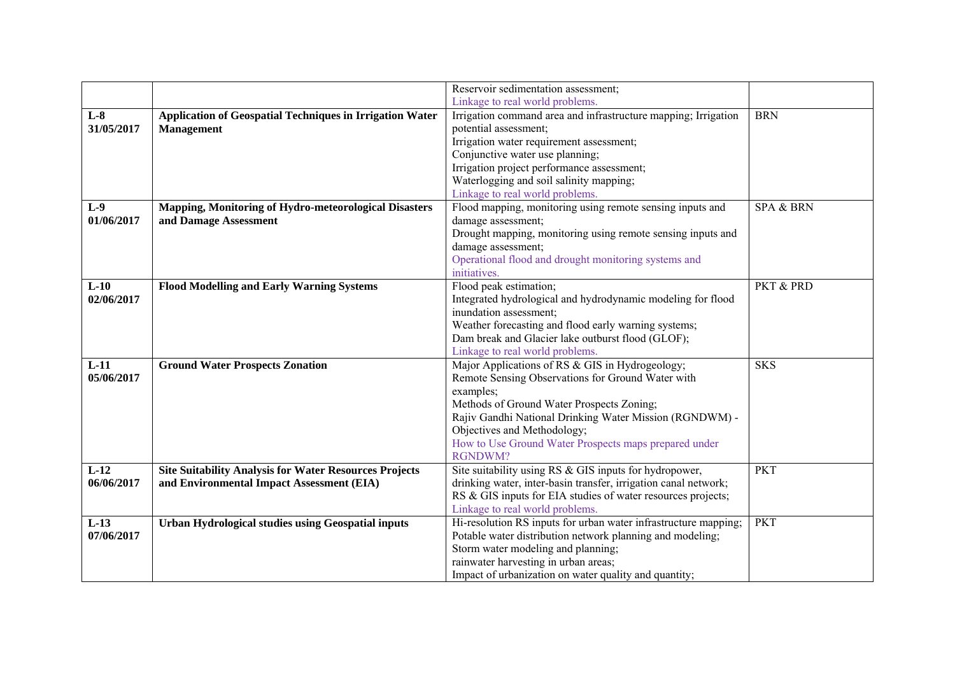|            |                                                                 | Reservoir sedimentation assessment;                                                                                             |            |
|------------|-----------------------------------------------------------------|---------------------------------------------------------------------------------------------------------------------------------|------------|
|            |                                                                 | Linkage to real world problems.                                                                                                 |            |
| $L-8$      | <b>Application of Geospatial Techniques in Irrigation Water</b> | Irrigation command area and infrastructure mapping; Irrigation                                                                  | <b>BRN</b> |
| 31/05/2017 | <b>Management</b>                                               | potential assessment;                                                                                                           |            |
|            |                                                                 | Irrigation water requirement assessment;                                                                                        |            |
|            |                                                                 | Conjunctive water use planning;                                                                                                 |            |
|            |                                                                 | Irrigation project performance assessment;                                                                                      |            |
|            |                                                                 | Waterlogging and soil salinity mapping;                                                                                         |            |
|            |                                                                 | Linkage to real world problems.                                                                                                 |            |
| $L-9$      | <b>Mapping, Monitoring of Hydro-meteorological Disasters</b>    | Flood mapping, monitoring using remote sensing inputs and                                                                       | SPA & BRN  |
| 01/06/2017 | and Damage Assessment                                           | damage assessment;                                                                                                              |            |
|            |                                                                 | Drought mapping, monitoring using remote sensing inputs and                                                                     |            |
|            |                                                                 | damage assessment;                                                                                                              |            |
|            |                                                                 | Operational flood and drought monitoring systems and                                                                            |            |
|            |                                                                 | initiatives.                                                                                                                    |            |
| $L-10$     | <b>Flood Modelling and Early Warning Systems</b>                | Flood peak estimation;                                                                                                          | PKT & PRD  |
| 02/06/2017 |                                                                 | Integrated hydrological and hydrodynamic modeling for flood                                                                     |            |
|            |                                                                 | inundation assessment;                                                                                                          |            |
|            |                                                                 | Weather forecasting and flood early warning systems;                                                                            |            |
|            |                                                                 | Dam break and Glacier lake outburst flood (GLOF);                                                                               |            |
|            |                                                                 | Linkage to real world problems.                                                                                                 |            |
| $L-11$     | <b>Ground Water Prospects Zonation</b>                          | Major Applications of RS & GIS in Hydrogeology;                                                                                 | <b>SKS</b> |
| 05/06/2017 |                                                                 | Remote Sensing Observations for Ground Water with                                                                               |            |
|            |                                                                 | examples;                                                                                                                       |            |
|            |                                                                 | Methods of Ground Water Prospects Zoning;                                                                                       |            |
|            |                                                                 | Rajiv Gandhi National Drinking Water Mission (RGNDWM) -                                                                         |            |
|            |                                                                 | Objectives and Methodology;                                                                                                     |            |
|            |                                                                 | How to Use Ground Water Prospects maps prepared under<br><b>RGNDWM?</b>                                                         |            |
| $L-12$     |                                                                 |                                                                                                                                 |            |
|            | <b>Site Suitability Analysis for Water Resources Projects</b>   | Site suitability using RS & GIS inputs for hydropower,                                                                          | <b>PKT</b> |
| 06/06/2017 | and Environmental Impact Assessment (EIA)                       | drinking water, inter-basin transfer, irrigation canal network;<br>RS & GIS inputs for EIA studies of water resources projects; |            |
|            |                                                                 | Linkage to real world problems.                                                                                                 |            |
| $L-13$     | <b>Urban Hydrological studies using Geospatial inputs</b>       | Hi-resolution RS inputs for urban water infrastructure mapping;                                                                 | <b>PKT</b> |
| 07/06/2017 |                                                                 | Potable water distribution network planning and modeling;                                                                       |            |
|            |                                                                 | Storm water modeling and planning;                                                                                              |            |
|            |                                                                 | rainwater harvesting in urban areas;                                                                                            |            |
|            |                                                                 | Impact of urbanization on water quality and quantity;                                                                           |            |
|            |                                                                 |                                                                                                                                 |            |